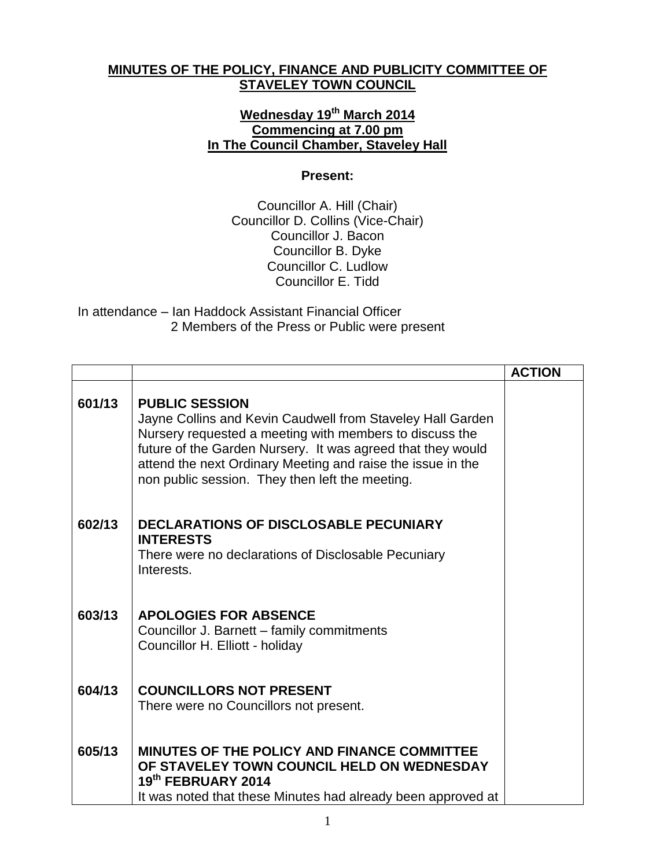## **MINUTES OF THE POLICY, FINANCE AND PUBLICITY COMMITTEE OF STAVELEY TOWN COUNCIL**

## **Wednesday 19th March 2014 Commencing at 7.00 pm In The Council Chamber, Staveley Hall**

## **Present:**

Councillor A. Hill (Chair) Councillor D. Collins (Vice-Chair) Councillor J. Bacon Councillor B. Dyke Councillor C. Ludlow Councillor E. Tidd

In attendance – Ian Haddock Assistant Financial Officer 2 Members of the Press or Public were present

|        |                                                                                                                                                                                                                                                                                                                                 | <b>ACTION</b> |
|--------|---------------------------------------------------------------------------------------------------------------------------------------------------------------------------------------------------------------------------------------------------------------------------------------------------------------------------------|---------------|
| 601/13 | <b>PUBLIC SESSION</b><br>Jayne Collins and Kevin Caudwell from Staveley Hall Garden<br>Nursery requested a meeting with members to discuss the<br>future of the Garden Nursery. It was agreed that they would<br>attend the next Ordinary Meeting and raise the issue in the<br>non public session. They then left the meeting. |               |
| 602/13 | <b>DECLARATIONS OF DISCLOSABLE PECUNIARY</b><br><b>INTERESTS</b><br>There were no declarations of Disclosable Pecuniary<br>Interests.                                                                                                                                                                                           |               |
| 603/13 | <b>APOLOGIES FOR ABSENCE</b><br>Councillor J. Barnett - family commitments<br>Councillor H. Elliott - holiday                                                                                                                                                                                                                   |               |
| 604/13 | <b>COUNCILLORS NOT PRESENT</b><br>There were no Councillors not present.                                                                                                                                                                                                                                                        |               |
| 605/13 | <b>MINUTES OF THE POLICY AND FINANCE COMMITTEE</b><br>OF STAVELEY TOWN COUNCIL HELD ON WEDNESDAY<br>19th FEBRUARY 2014<br>It was noted that these Minutes had already been approved at                                                                                                                                          |               |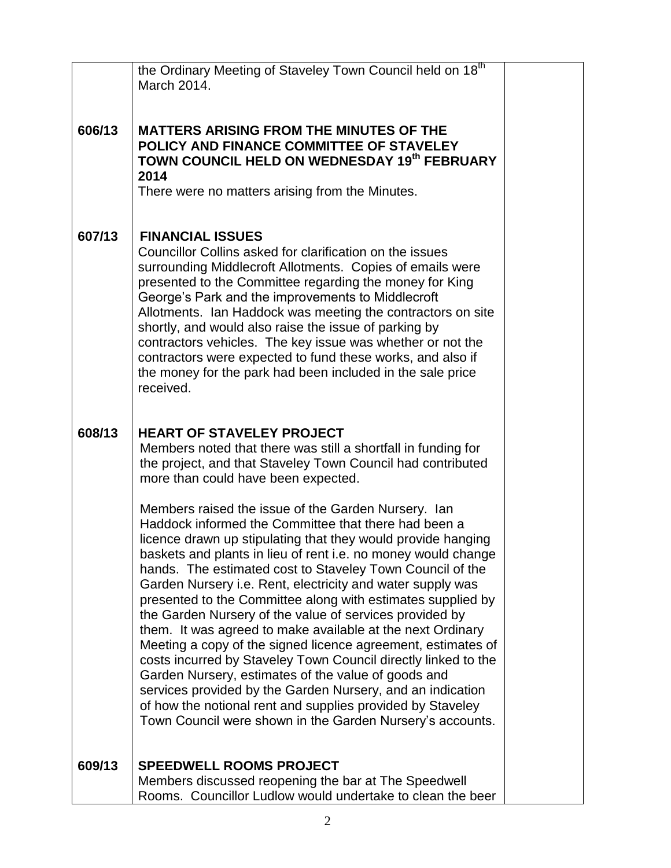|        | the Ordinary Meeting of Staveley Town Council held on 18 <sup>th</sup><br>March 2014.                                                                                                                                                                                                                                                                                                                                                                                                                                                                                                                                                                                                                                                                                                                                                                                                                                                             |  |
|--------|---------------------------------------------------------------------------------------------------------------------------------------------------------------------------------------------------------------------------------------------------------------------------------------------------------------------------------------------------------------------------------------------------------------------------------------------------------------------------------------------------------------------------------------------------------------------------------------------------------------------------------------------------------------------------------------------------------------------------------------------------------------------------------------------------------------------------------------------------------------------------------------------------------------------------------------------------|--|
| 606/13 | <b>MATTERS ARISING FROM THE MINUTES OF THE</b><br>POLICY AND FINANCE COMMITTEE OF STAVELEY<br>TOWN COUNCIL HELD ON WEDNESDAY 19th FEBRUARY<br>2014<br>There were no matters arising from the Minutes.                                                                                                                                                                                                                                                                                                                                                                                                                                                                                                                                                                                                                                                                                                                                             |  |
| 607/13 | <b>FINANCIAL ISSUES</b><br>Councillor Collins asked for clarification on the issues<br>surrounding Middlecroft Allotments. Copies of emails were<br>presented to the Committee regarding the money for King<br>George's Park and the improvements to Middlecroft<br>Allotments. Ian Haddock was meeting the contractors on site<br>shortly, and would also raise the issue of parking by<br>contractors vehicles. The key issue was whether or not the<br>contractors were expected to fund these works, and also if<br>the money for the park had been included in the sale price<br>received.                                                                                                                                                                                                                                                                                                                                                   |  |
| 608/13 | <b>HEART OF STAVELEY PROJECT</b><br>Members noted that there was still a shortfall in funding for<br>the project, and that Staveley Town Council had contributed<br>more than could have been expected.                                                                                                                                                                                                                                                                                                                                                                                                                                                                                                                                                                                                                                                                                                                                           |  |
|        | Members raised the issue of the Garden Nursery. Ian<br>Haddock informed the Committee that there had been a<br>licence drawn up stipulating that they would provide hanging<br>baskets and plants in lieu of rent i.e. no money would change<br>hands. The estimated cost to Staveley Town Council of the<br>Garden Nursery i.e. Rent, electricity and water supply was<br>presented to the Committee along with estimates supplied by<br>the Garden Nursery of the value of services provided by<br>them. It was agreed to make available at the next Ordinary<br>Meeting a copy of the signed licence agreement, estimates of<br>costs incurred by Staveley Town Council directly linked to the<br>Garden Nursery, estimates of the value of goods and<br>services provided by the Garden Nursery, and an indication<br>of how the notional rent and supplies provided by Staveley<br>Town Council were shown in the Garden Nursery's accounts. |  |
| 609/13 | <b>SPEEDWELL ROOMS PROJECT</b><br>Members discussed reopening the bar at The Speedwell<br>Rooms. Councillor Ludlow would undertake to clean the beer                                                                                                                                                                                                                                                                                                                                                                                                                                                                                                                                                                                                                                                                                                                                                                                              |  |